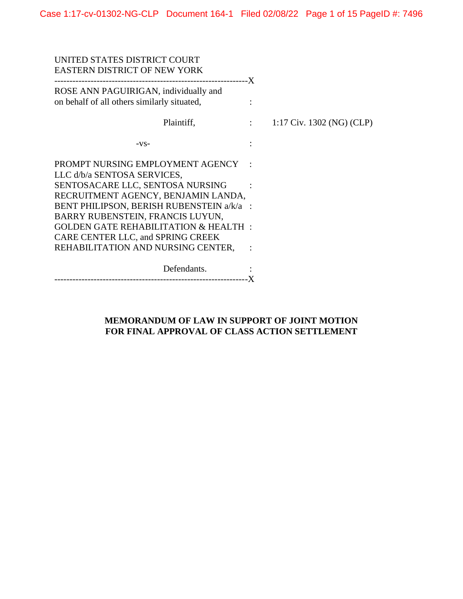| UNITED STATES DISTRICT COURT<br><b>EASTERN DISTRICT OF NEW YORK</b>                           |                           |
|-----------------------------------------------------------------------------------------------|---------------------------|
| ROSE ANN PAGUIRIGAN, individually and<br>on behalf of all others similarly situated,          |                           |
| Plaintiff,<br>$\mathcal{L} = \mathcal{L} \times \mathcal{L} = \mathcal{L} \times \mathcal{L}$ | 1:17 Civ. 1302 (NG) (CLP) |
| $-VS-$                                                                                        |                           |
| PROMPT NURSING EMPLOYMENT AGENCY<br>LLC d/b/a SENTOSA SERVICES,                               |                           |
| SENTOSACARE LLC, SENTOSA NURSING<br>RECRUITMENT AGENCY, BENJAMIN LANDA,                       |                           |
| BENT PHILIPSON, BERISH RUBENSTEIN a/k/a :<br>BARRY RUBENSTEIN, FRANCIS LUYUN,                 |                           |
| <b>GOLDEN GATE REHABILITATION &amp; HEALTH:</b><br>CARE CENTER LLC, and SPRING CREEK          |                           |
| REHABILITATION AND NURSING CENTER,                                                            |                           |
| Defendants.                                                                                   |                           |

# **MEMORANDUM OF LAW IN SUPPORT OF JOINT MOTION FOR FINAL APPROVAL OF CLASS ACTION SETTLEMENT**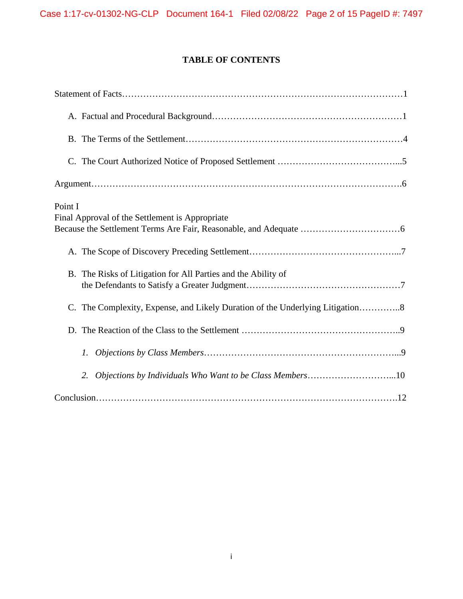# **TABLE OF CONTENTS**

| Point I<br>Final Approval of the Settlement is Appropriate                    |
|-------------------------------------------------------------------------------|
|                                                                               |
| B. The Risks of Litigation for All Parties and the Ability of                 |
| C. The Complexity, Expense, and Likely Duration of the Underlying Litigation8 |
|                                                                               |
| 1.                                                                            |
| Objections by Individuals Who Want to be Class Members10<br>2.                |
|                                                                               |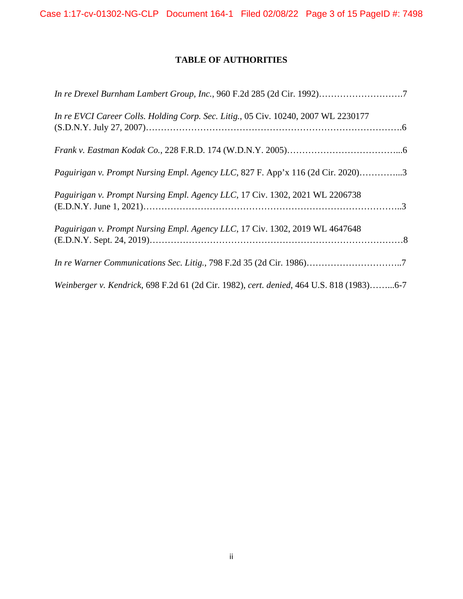Case 1:17-cv-01302-NG-CLP Document 164-1 Filed 02/08/22 Page 3 of 15 PageID #: 7498

# **TABLE OF AUTHORITIES**

| In re Drexel Burnham Lambert Group, Inc., 960 F.2d 285 (2d Cir. 1992)7                   |
|------------------------------------------------------------------------------------------|
| In re EVCI Career Colls. Holding Corp. Sec. Litig., 05 Civ. 10240, 2007 WL 2230177       |
|                                                                                          |
| Paguirigan v. Prompt Nursing Empl. Agency LLC, 827 F. App'x 116 (2d Cir. 2020)3          |
| Paguirigan v. Prompt Nursing Empl. Agency LLC, 17 Civ. 1302, 2021 WL 2206738             |
| Paguirigan v. Prompt Nursing Empl. Agency LLC, 17 Civ. 1302, 2019 WL 4647648             |
|                                                                                          |
| Weinberger v. Kendrick, 698 F.2d 61 (2d Cir. 1982), cert. denied, 464 U.S. 818 (1983)6-7 |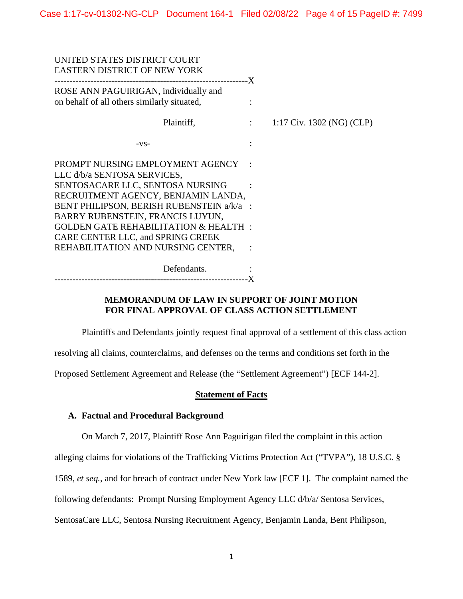| UNITED STATES DISTRICT COURT<br>EASTERN DISTRICT OF NEW YORK                                                                                                                                                                                                                                                        |                          |                           |
|---------------------------------------------------------------------------------------------------------------------------------------------------------------------------------------------------------------------------------------------------------------------------------------------------------------------|--------------------------|---------------------------|
| ROSE ANN PAGUIRIGAN, individually and<br>on behalf of all others similarly situated,                                                                                                                                                                                                                                | $\ddot{\cdot}$           |                           |
| Plaintiff,                                                                                                                                                                                                                                                                                                          | $\sim 1000$ km s $^{-1}$ | 1:17 Civ. 1302 (NG) (CLP) |
| $-VS-$                                                                                                                                                                                                                                                                                                              |                          |                           |
| PROMPT NURSING EMPLOYMENT AGENCY<br>LLC d/b/a SENTOSA SERVICES,<br>SENTOSACARE LLC, SENTOSA NURSING<br>RECRUITMENT AGENCY, BENJAMIN LANDA,<br>BENT PHILIPSON, BERISH RUBENSTEIN a/k/a :<br>BARRY RUBENSTEIN, FRANCIS LUYUN,<br><b>GOLDEN GATE REHABILITATION &amp; HEALTH:</b><br>CARE CENTER LLC, and SPRING CREEK |                          |                           |
| REHABILITATION AND NURSING CENTER,                                                                                                                                                                                                                                                                                  |                          |                           |
| Defendants.                                                                                                                                                                                                                                                                                                         |                          |                           |

--------------------------------------------------------------- -X

# **MEMORANDUM OF LAW IN SUPPORT OF JOINT MOTION FOR FINAL APPROVAL OF CLASS ACTION SETTLEMENT**

Plaintiffs and Defendants jointly request final approval of a settlement of this class action

resolving all claims, counterclaims, and defenses on the terms and conditions set forth in the

Proposed Settlement Agreement and Release (the "Settlement Agreement") [ECF 144-2].

## **Statement of Facts**

## **A. Factual and Procedural Background**

On March 7, 2017, Plaintiff Rose Ann Paguirigan filed the complaint in this action

alleging claims for violations of the Trafficking Victims Protection Act ("TVPA"), 18 U.S.C. §

1589, *et seq.*, and for breach of contract under New York law [ECF 1]. The complaint named the

following defendants: Prompt Nursing Employment Agency LLC d/b/a/ Sentosa Services,

SentosaCare LLC, Sentosa Nursing Recruitment Agency, Benjamin Landa, Bent Philipson,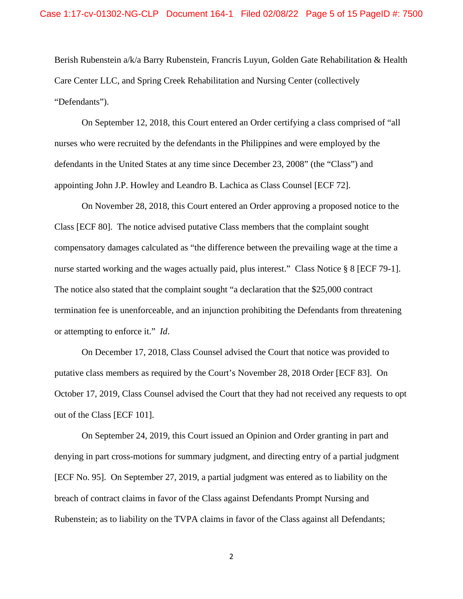Berish Rubenstein a/k/a Barry Rubenstein, Francris Luyun, Golden Gate Rehabilitation & Health Care Center LLC, and Spring Creek Rehabilitation and Nursing Center (collectively "Defendants").

On September 12, 2018, this Court entered an Order certifying a class comprised of "all nurses who were recruited by the defendants in the Philippines and were employed by the defendants in the United States at any time since December 23, 2008" (the "Class") and appointing John J.P. Howley and Leandro B. Lachica as Class Counsel [ECF 72].

 On November 28, 2018, this Court entered an Order approving a proposed notice to the Class [ECF 80]. The notice advised putative Class members that the complaint sought compensatory damages calculated as "the difference between the prevailing wage at the time a nurse started working and the wages actually paid, plus interest." Class Notice § 8 [ECF 79-1]. The notice also stated that the complaint sought "a declaration that the \$25,000 contract termination fee is unenforceable, and an injunction prohibiting the Defendants from threatening or attempting to enforce it." *Id*.

On December 17, 2018, Class Counsel advised the Court that notice was provided to putative class members as required by the Court's November 28, 2018 Order [ECF 83]. On October 17, 2019, Class Counsel advised the Court that they had not received any requests to opt out of the Class [ECF 101].

 On September 24, 2019, this Court issued an Opinion and Order granting in part and denying in part cross-motions for summary judgment, and directing entry of a partial judgment [ECF No. 95]. On September 27, 2019, a partial judgment was entered as to liability on the breach of contract claims in favor of the Class against Defendants Prompt Nursing and Rubenstein; as to liability on the TVPA claims in favor of the Class against all Defendants;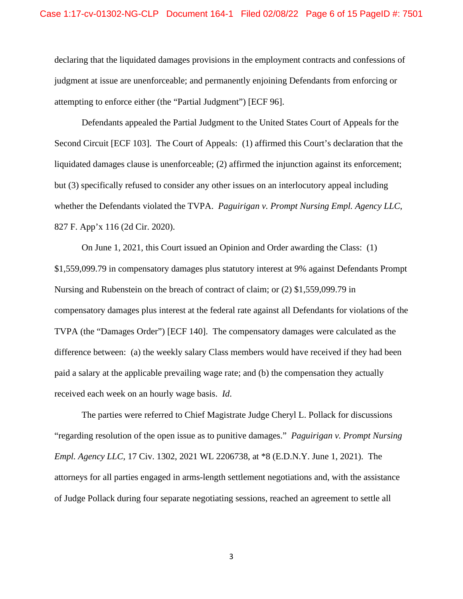declaring that the liquidated damages provisions in the employment contracts and confessions of judgment at issue are unenforceable; and permanently enjoining Defendants from enforcing or attempting to enforce either (the "Partial Judgment") [ECF 96].

Defendants appealed the Partial Judgment to the United States Court of Appeals for the Second Circuit [ECF 103]. The Court of Appeals: (1) affirmed this Court's declaration that the liquidated damages clause is unenforceable; (2) affirmed the injunction against its enforcement; but (3) specifically refused to consider any other issues on an interlocutory appeal including whether the Defendants violated the TVPA. *Paguirigan v. Prompt Nursing Empl. Agency LLC*, 827 F. App'x 116 (2d Cir. 2020).

On June 1, 2021, this Court issued an Opinion and Order awarding the Class: (1) \$1,559,099.79 in compensatory damages plus statutory interest at 9% against Defendants Prompt Nursing and Rubenstein on the breach of contract of claim; or (2) \$1,559,099.79 in compensatory damages plus interest at the federal rate against all Defendants for violations of the TVPA (the "Damages Order") [ECF 140]. The compensatory damages were calculated as the difference between: (a) the weekly salary Class members would have received if they had been paid a salary at the applicable prevailing wage rate; and (b) the compensation they actually received each week on an hourly wage basis. *Id*.

The parties were referred to Chief Magistrate Judge Cheryl L. Pollack for discussions "regarding resolution of the open issue as to punitive damages." *Paguirigan v. Prompt Nursing Empl. Agency LLC*, 17 Civ. 1302, 2021 WL 2206738, at \*8 (E.D.N.Y. June 1, 2021). The attorneys for all parties engaged in arms-length settlement negotiations and, with the assistance of Judge Pollack during four separate negotiating sessions, reached an agreement to settle all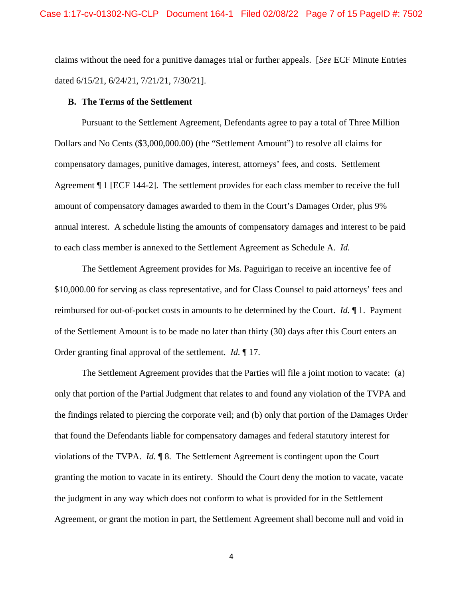claims without the need for a punitive damages trial or further appeals. [*See* ECF Minute Entries dated 6/15/21, 6/24/21, 7/21/21, 7/30/21].

#### **B. The Terms of the Settlement**

Pursuant to the Settlement Agreement, Defendants agree to pay a total of Three Million Dollars and No Cents (\$3,000,000.00) (the "Settlement Amount") to resolve all claims for compensatory damages, punitive damages, interest, attorneys' fees, and costs. Settlement Agreement ¶ 1 [ECF 144-2]. The settlement provides for each class member to receive the full amount of compensatory damages awarded to them in the Court's Damages Order, plus 9% annual interest. A schedule listing the amounts of compensatory damages and interest to be paid to each class member is annexed to the Settlement Agreement as Schedule A. *Id.*

The Settlement Agreement provides for Ms. Paguirigan to receive an incentive fee of \$10,000.00 for serving as class representative, and for Class Counsel to paid attorneys' fees and reimbursed for out-of-pocket costs in amounts to be determined by the Court. *Id.* ¶ 1. Payment of the Settlement Amount is to be made no later than thirty (30) days after this Court enters an Order granting final approval of the settlement. *Id.* ¶ 17.

The Settlement Agreement provides that the Parties will file a joint motion to vacate: (a) only that portion of the Partial Judgment that relates to and found any violation of the TVPA and the findings related to piercing the corporate veil; and (b) only that portion of the Damages Order that found the Defendants liable for compensatory damages and federal statutory interest for violations of the TVPA. *Id.* ¶ 8. The Settlement Agreement is contingent upon the Court granting the motion to vacate in its entirety. Should the Court deny the motion to vacate, vacate the judgment in any way which does not conform to what is provided for in the Settlement Agreement, or grant the motion in part, the Settlement Agreement shall become null and void in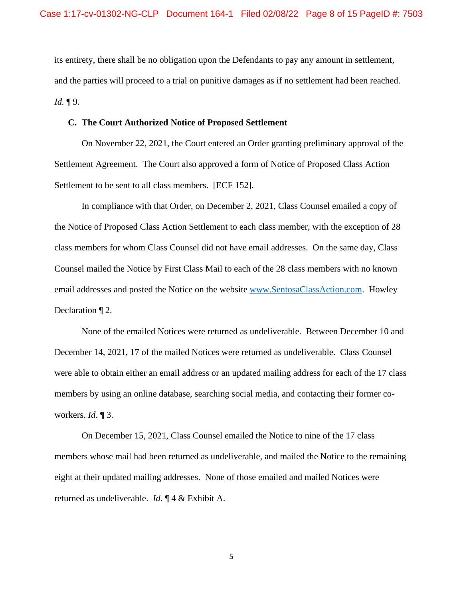its entirety, there shall be no obligation upon the Defendants to pay any amount in settlement, and the parties will proceed to a trial on punitive damages as if no settlement had been reached. *Id.* ¶ 9.

#### **C. The Court Authorized Notice of Proposed Settlement**

On November 22, 2021, the Court entered an Order granting preliminary approval of the Settlement Agreement. The Court also approved a form of Notice of Proposed Class Action Settlement to be sent to all class members. [ECF 152].

In compliance with that Order, on December 2, 2021, Class Counsel emailed a copy of the Notice of Proposed Class Action Settlement to each class member, with the exception of 28 class members for whom Class Counsel did not have email addresses. On the same day, Class Counsel mailed the Notice by First Class Mail to each of the 28 class members with no known email addresses and posted the Notice on the website [www.SentosaClassAction.com.](http://www.sentosaclassaction.com/) Howley Declaration ¶ 2.

None of the emailed Notices were returned as undeliverable. Between December 10 and December 14, 2021, 17 of the mailed Notices were returned as undeliverable. Class Counsel were able to obtain either an email address or an updated mailing address for each of the 17 class members by using an online database, searching social media, and contacting their former coworkers. *Id*. ¶ 3.

On December 15, 2021, Class Counsel emailed the Notice to nine of the 17 class members whose mail had been returned as undeliverable, and mailed the Notice to the remaining eight at their updated mailing addresses. None of those emailed and mailed Notices were returned as undeliverable. *Id*. ¶ 4 & Exhibit A.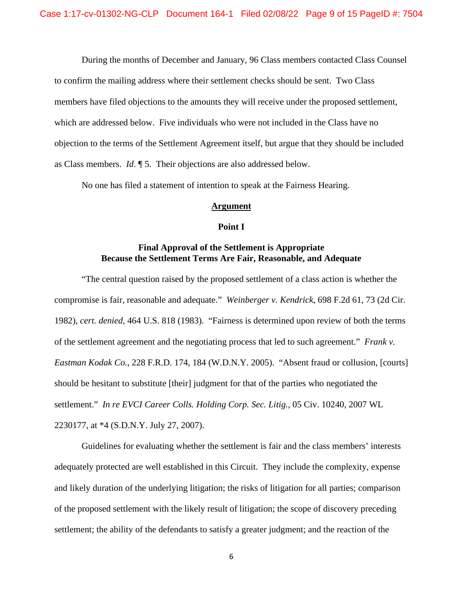During the months of December and January, 96 Class members contacted Class Counsel to confirm the mailing address where their settlement checks should be sent. Two Class members have filed objections to the amounts they will receive under the proposed settlement, which are addressed below. Five individuals who were not included in the Class have no objection to the terms of the Settlement Agreement itself, but argue that they should be included as Class members. *Id*. ¶ 5. Their objections are also addressed below.

No one has filed a statement of intention to speak at the Fairness Hearing.

#### **Argument**

#### **Point I**

# **Final Approval of the Settlement is Appropriate Because the Settlement Terms Are Fair, Reasonable, and Adequate**

"The central question raised by the proposed settlement of a class action is whether the compromise is fair, reasonable and adequate." *Weinberger v. Kendrick*, 698 F.2d 61, 73 (2d Cir. 1982), *cert. denied,* 464 U.S. 818 (1983). "Fairness is determined upon review of both the terms of the settlement agreement and the negotiating process that led to such agreement." *Frank v. Eastman Kodak Co.*, 228 F.R.D. 174, 184 (W.D.N.Y. 2005). "Absent fraud or collusion, [courts] should be hesitant to substitute [their] judgment for that of the parties who negotiated the settlement." *In re EVCI Career Colls. Holding Corp. Sec. Litig.*, 05 Civ. 10240, 2007 WL 2230177, at \*4 (S.D.N.Y. July 27, 2007).

Guidelines for evaluating whether the settlement is fair and the class members' interests adequately protected are well established in this Circuit. They include the complexity, expense and likely duration of the underlying litigation; the risks of litigation for all parties; comparison of the proposed settlement with the likely result of litigation; the scope of discovery preceding settlement; the ability of the defendants to satisfy a greater judgment; and the reaction of the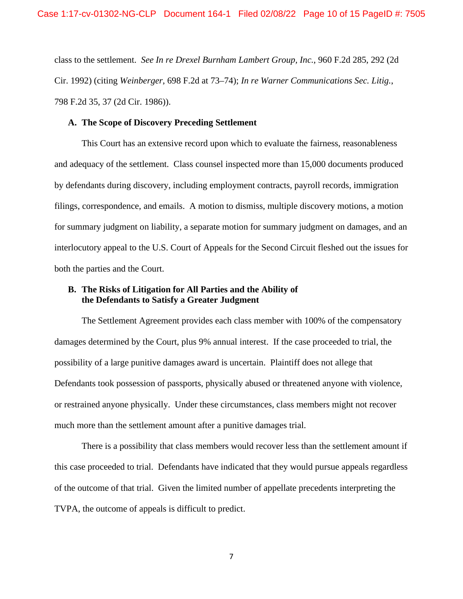class to the settlement. *See In re Drexel Burnham Lambert Group, Inc.*, 960 F.2d 285, 292 (2d Cir. 1992) (citing *Weinberger*, 698 F.2d at 73–74); *In re Warner Communications Sec. Litig.*, 798 F.2d 35, 37 (2d Cir. 1986)).

### **A. The Scope of Discovery Preceding Settlement**

This Court has an extensive record upon which to evaluate the fairness, reasonableness and adequacy of the settlement. Class counsel inspected more than 15,000 documents produced by defendants during discovery, including employment contracts, payroll records, immigration filings, correspondence, and emails. A motion to dismiss, multiple discovery motions, a motion for summary judgment on liability, a separate motion for summary judgment on damages, and an interlocutory appeal to the U.S. Court of Appeals for the Second Circuit fleshed out the issues for both the parties and the Court.

## **B. The Risks of Litigation for All Parties and the Ability of the Defendants to Satisfy a Greater Judgment**

The Settlement Agreement provides each class member with 100% of the compensatory damages determined by the Court, plus 9% annual interest. If the case proceeded to trial, the possibility of a large punitive damages award is uncertain. Plaintiff does not allege that Defendants took possession of passports, physically abused or threatened anyone with violence, or restrained anyone physically. Under these circumstances, class members might not recover much more than the settlement amount after a punitive damages trial.

There is a possibility that class members would recover less than the settlement amount if this case proceeded to trial. Defendants have indicated that they would pursue appeals regardless of the outcome of that trial. Given the limited number of appellate precedents interpreting the TVPA, the outcome of appeals is difficult to predict.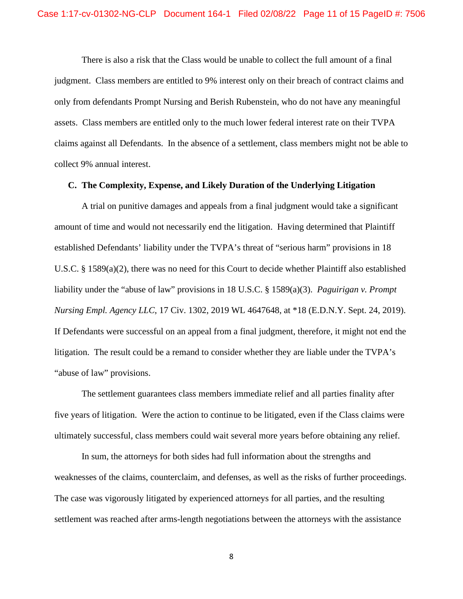There is also a risk that the Class would be unable to collect the full amount of a final judgment. Class members are entitled to 9% interest only on their breach of contract claims and only from defendants Prompt Nursing and Berish Rubenstein, who do not have any meaningful assets. Class members are entitled only to the much lower federal interest rate on their TVPA claims against all Defendants. In the absence of a settlement, class members might not be able to collect 9% annual interest.

### **C. The Complexity, Expense, and Likely Duration of the Underlying Litigation**

A trial on punitive damages and appeals from a final judgment would take a significant amount of time and would not necessarily end the litigation. Having determined that Plaintiff established Defendants' liability under the TVPA's threat of "serious harm" provisions in 18 U.S.C. § 1589(a)(2), there was no need for this Court to decide whether Plaintiff also established liability under the "abuse of law" provisions in 18 U.S.C. § 1589(a)(3). *Paguirigan v. Prompt Nursing Empl. Agency LLC*, 17 Civ. 1302, 2019 WL 4647648, at \*18 (E.D.N.Y. Sept. 24, 2019). If Defendants were successful on an appeal from a final judgment, therefore, it might not end the litigation. The result could be a remand to consider whether they are liable under the TVPA's "abuse of law" provisions.

The settlement guarantees class members immediate relief and all parties finality after five years of litigation. Were the action to continue to be litigated, even if the Class claims were ultimately successful, class members could wait several more years before obtaining any relief.

In sum, the attorneys for both sides had full information about the strengths and weaknesses of the claims, counterclaim, and defenses, as well as the risks of further proceedings. The case was vigorously litigated by experienced attorneys for all parties, and the resulting settlement was reached after arms-length negotiations between the attorneys with the assistance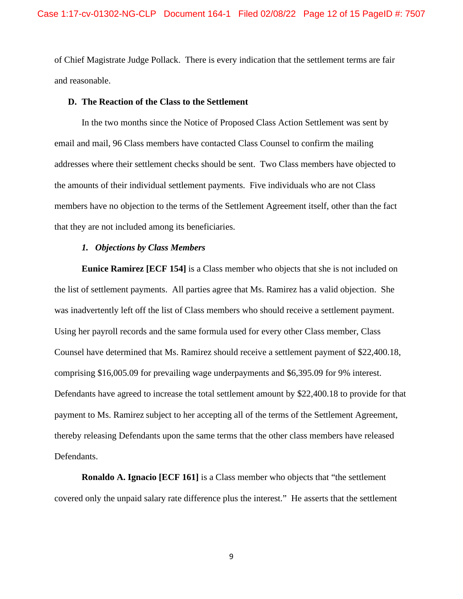of Chief Magistrate Judge Pollack. There is every indication that the settlement terms are fair and reasonable.

### **D. The Reaction of the Class to the Settlement**

In the two months since the Notice of Proposed Class Action Settlement was sent by email and mail, 96 Class members have contacted Class Counsel to confirm the mailing addresses where their settlement checks should be sent. Two Class members have objected to the amounts of their individual settlement payments. Five individuals who are not Class members have no objection to the terms of the Settlement Agreement itself, other than the fact that they are not included among its beneficiaries.

#### *1. Objections by Class Members*

**Eunice Ramirez [ECF 154]** is a Class member who objects that she is not included on the list of settlement payments. All parties agree that Ms. Ramirez has a valid objection. She was inadvertently left off the list of Class members who should receive a settlement payment. Using her payroll records and the same formula used for every other Class member, Class Counsel have determined that Ms. Ramirez should receive a settlement payment of \$22,400.18, comprising \$16,005.09 for prevailing wage underpayments and \$6,395.09 for 9% interest. Defendants have agreed to increase the total settlement amount by \$22,400.18 to provide for that payment to Ms. Ramirez subject to her accepting all of the terms of the Settlement Agreement, thereby releasing Defendants upon the same terms that the other class members have released Defendants.

**Ronaldo A. Ignacio [ECF 161]** is a Class member who objects that "the settlement" covered only the unpaid salary rate difference plus the interest." He asserts that the settlement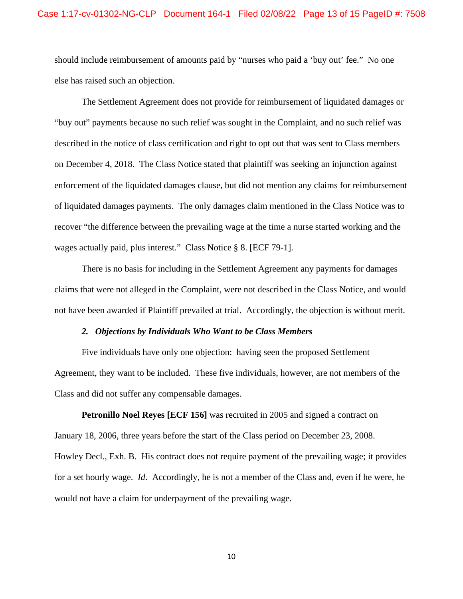should include reimbursement of amounts paid by "nurses who paid a 'buy out' fee." No one else has raised such an objection.

The Settlement Agreement does not provide for reimbursement of liquidated damages or "buy out" payments because no such relief was sought in the Complaint, and no such relief was described in the notice of class certification and right to opt out that was sent to Class members on December 4, 2018. The Class Notice stated that plaintiff was seeking an injunction against enforcement of the liquidated damages clause, but did not mention any claims for reimbursement of liquidated damages payments. The only damages claim mentioned in the Class Notice was to recover "the difference between the prevailing wage at the time a nurse started working and the wages actually paid, plus interest." Class Notice § 8. [ECF 79-1].

There is no basis for including in the Settlement Agreement any payments for damages claims that were not alleged in the Complaint, were not described in the Class Notice, and would not have been awarded if Plaintiff prevailed at trial. Accordingly, the objection is without merit.

#### *2. Objections by Individuals Who Want to be Class Members*

Five individuals have only one objection: having seen the proposed Settlement Agreement, they want to be included. These five individuals, however, are not members of the Class and did not suffer any compensable damages.

**Petronillo Noel Reyes [ECF 156]** was recruited in 2005 and signed a contract on January 18, 2006, three years before the start of the Class period on December 23, 2008. Howley Decl., Exh. B. His contract does not require payment of the prevailing wage; it provides for a set hourly wage. *Id*. Accordingly, he is not a member of the Class and, even if he were, he would not have a claim for underpayment of the prevailing wage.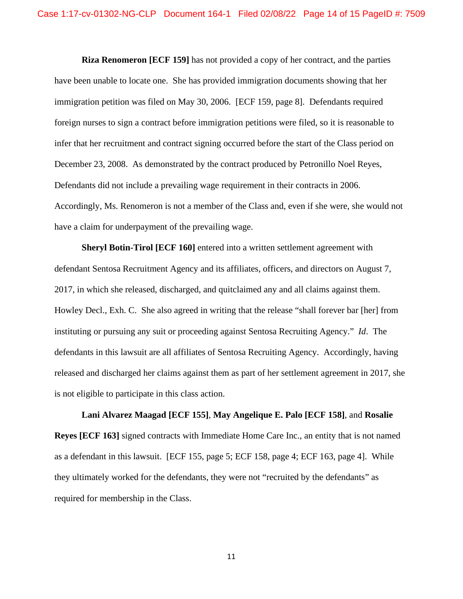**Riza Renomeron [ECF 159]** has not provided a copy of her contract, and the parties have been unable to locate one. She has provided immigration documents showing that her immigration petition was filed on May 30, 2006. [ECF 159, page 8]. Defendants required foreign nurses to sign a contract before immigration petitions were filed, so it is reasonable to infer that her recruitment and contract signing occurred before the start of the Class period on December 23, 2008. As demonstrated by the contract produced by Petronillo Noel Reyes, Defendants did not include a prevailing wage requirement in their contracts in 2006. Accordingly, Ms. Renomeron is not a member of the Class and, even if she were, she would not have a claim for underpayment of the prevailing wage.

**Sheryl Botin-Tirol [ECF 160]** entered into a written settlement agreement with defendant Sentosa Recruitment Agency and its affiliates, officers, and directors on August 7, 2017, in which she released, discharged, and quitclaimed any and all claims against them. Howley Decl., Exh. C. She also agreed in writing that the release "shall forever bar [her] from instituting or pursuing any suit or proceeding against Sentosa Recruiting Agency." *Id*. The defendants in this lawsuit are all affiliates of Sentosa Recruiting Agency. Accordingly, having released and discharged her claims against them as part of her settlement agreement in 2017, she is not eligible to participate in this class action.

**Lani Alvarez Maagad [ECF 155]**, **May Angelique E. Palo [ECF 158]**, and **Rosalie Reyes [ECF 163]** signed contracts with Immediate Home Care Inc., an entity that is not named as a defendant in this lawsuit. [ECF 155, page 5; ECF 158, page 4; ECF 163, page 4]. While they ultimately worked for the defendants, they were not "recruited by the defendants" as required for membership in the Class.